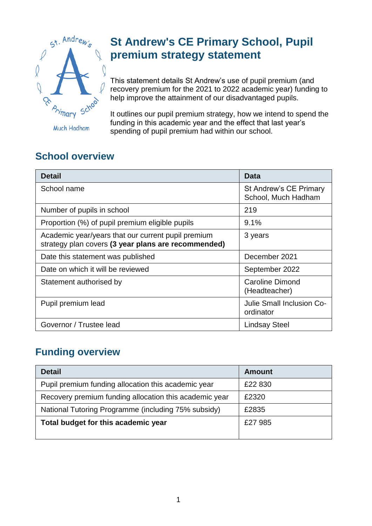

**Much Hadham** 

## **St Andrew's CE Primary School, Pupil premium strategy statement**

This statement details St Andrew's use of pupil premium (and recovery premium for the 2021 to 2022 academic year) funding to help improve the attainment of our disadvantaged pupils.

It outlines our pupil premium strategy, how we intend to spend the funding in this academic year and the effect that last year's spending of pupil premium had within our school.

## **School overview**

| <b>Detail</b>                                                                                             | Data                                          |
|-----------------------------------------------------------------------------------------------------------|-----------------------------------------------|
| School name                                                                                               | St Andrew's CE Primary<br>School, Much Hadham |
| Number of pupils in school                                                                                | 219                                           |
| Proportion (%) of pupil premium eligible pupils                                                           | 9.1%                                          |
| Academic year/years that our current pupil premium<br>strategy plan covers (3 year plans are recommended) | 3 years                                       |
| Date this statement was published                                                                         | December 2021                                 |
| Date on which it will be reviewed                                                                         | September 2022                                |
| Statement authorised by                                                                                   | <b>Caroline Dimond</b><br>(Headteacher)       |
| Pupil premium lead                                                                                        | Julie Small Inclusion Co-<br>ordinator        |
| Governor / Trustee lead                                                                                   | <b>Lindsay Steel</b>                          |

#### **Funding overview**

| <b>Detail</b>                                          | <b>Amount</b> |
|--------------------------------------------------------|---------------|
| Pupil premium funding allocation this academic year    | £22 830       |
| Recovery premium funding allocation this academic year | £2320         |
| National Tutoring Programme (including 75% subsidy)    | £2835         |
| Total budget for this academic year                    | £27 985       |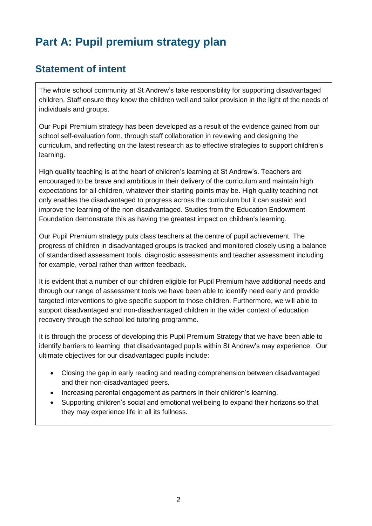## **Part A: Pupil premium strategy plan**

#### **Statement of intent**

The whole school community at St Andrew's take responsibility for supporting disadvantaged children. Staff ensure they know the children well and tailor provision in the light of the needs of individuals and groups.

Our Pupil Premium strategy has been developed as a result of the evidence gained from our school self-evaluation form, through staff collaboration in reviewing and designing the curriculum, and reflecting on the latest research as to effective strategies to support children's learning.

High quality teaching is at the heart of children's learning at St Andrew's. Teachers are encouraged to be brave and ambitious in their delivery of the curriculum and maintain high expectations for all children, whatever their starting points may be. High quality teaching not only enables the disadvantaged to progress across the curriculum but it can sustain and improve the learning of the non-disadvantaged. Studies from the Education Endowment Foundation demonstrate this as having the greatest impact on children's learning.

Our Pupil Premium strategy puts class teachers at the centre of pupil achievement. The progress of children in disadvantaged groups is tracked and monitored closely using a balance of standardised assessment tools, diagnostic assessments and teacher assessment including for example, verbal rather than written feedback.

It is evident that a number of our children eligible for Pupil Premium have additional needs and through our range of assessment tools we have been able to identify need early and provide targeted interventions to give specific support to those children. Furthermore, we will able to support disadvantaged and non-disadvantaged children in the wider context of education recovery through the school led tutoring programme.

It is through the process of developing this Pupil Premium Strategy that we have been able to identify barriers to learning that disadvantaged pupils within St Andrew's may experience. Our ultimate objectives for our disadvantaged pupils include:

- Closing the gap in early reading and reading comprehension between disadvantaged and their non-disadvantaged peers.
- Increasing parental engagement as partners in their children's learning.
- Supporting children's social and emotional wellbeing to expand their horizons so that they may experience life in all its fullness.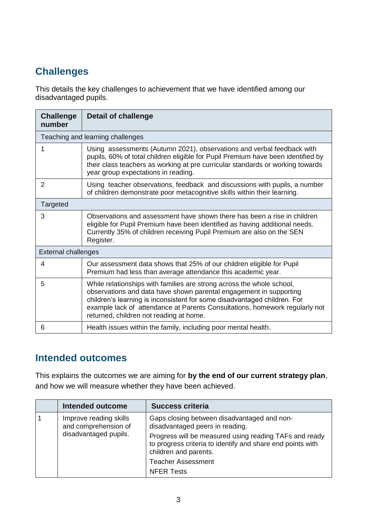## **Challenges**

This details the key challenges to achievement that we have identified among our disadvantaged pupils.

| <b>Challenge</b><br>number | <b>Detail of challenge</b>                                                                                                                                                                                                                                                                                                                        |
|----------------------------|---------------------------------------------------------------------------------------------------------------------------------------------------------------------------------------------------------------------------------------------------------------------------------------------------------------------------------------------------|
|                            | Teaching and learning challenges                                                                                                                                                                                                                                                                                                                  |
|                            | Using assessments (Autumn 2021), observations and verbal feedback with<br>pupils, 60% of total children eligible for Pupil Premium have been identified by<br>their class teachers as working at pre curricular standards or working towards<br>year group expectations in reading.                                                               |
| 2                          | Using teacher observations, feedback and discussions with pupils, a number<br>of children demonstrate poor metacognitive skills within their learning.                                                                                                                                                                                            |
| Targeted                   |                                                                                                                                                                                                                                                                                                                                                   |
| 3                          | Observations and assessment have shown there has been a rise in children<br>eligible for Pupil Premium have been identified as having additional needs.<br>Currently 35% of children receiving Pupil Premium are also on the SEN<br>Register.                                                                                                     |
| <b>External challenges</b> |                                                                                                                                                                                                                                                                                                                                                   |
| 4                          | Our assessment data shows that 25% of our children eligible for Pupil<br>Premium had less than average attendance this academic year.                                                                                                                                                                                                             |
| 5                          | While relationships with families are strong across the whole school,<br>observations and data have shown parental engagement in supporting<br>children's learning is inconsistent for some disadvantaged children. For<br>example lack of attendance at Parents Consultations, homework regularly not<br>returned, children not reading at home. |
| 6                          | Health issues within the family, including poor mental health.                                                                                                                                                                                                                                                                                    |

#### **Intended outcomes**

This explains the outcomes we are aiming for **by the end of our current strategy plan**, and how we will measure whether they have been achieved.

|                                                                         | <b>Intended outcome</b>                            | <b>Success criteria</b>                                                                                                                                                                                |
|-------------------------------------------------------------------------|----------------------------------------------------|--------------------------------------------------------------------------------------------------------------------------------------------------------------------------------------------------------|
| Improve reading skills<br>and comprehension of<br>disadvantaged pupils. |                                                    | Gaps closing between disadvantaged and non-<br>disadvantaged peers in reading.<br>Progress will be measured using reading TAFs and ready<br>to progress criteria to identify and share end points with |
|                                                                         | children and parents.<br><b>Teacher Assessment</b> |                                                                                                                                                                                                        |
|                                                                         |                                                    | <b>NFER Tests</b>                                                                                                                                                                                      |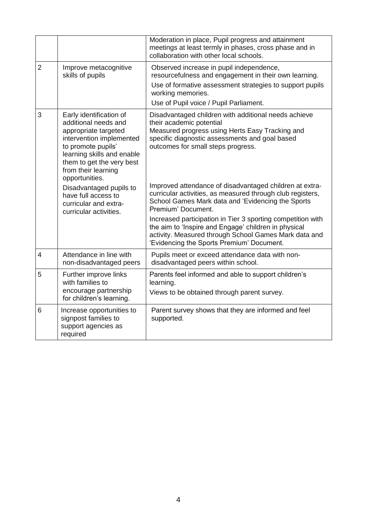|                |                                                                                                                                                                                                                               | Moderation in place, Pupil progress and attainment<br>meetings at least termly in phases, cross phase and in<br>collaboration with other local schools.                                                                      |
|----------------|-------------------------------------------------------------------------------------------------------------------------------------------------------------------------------------------------------------------------------|------------------------------------------------------------------------------------------------------------------------------------------------------------------------------------------------------------------------------|
| $\overline{2}$ | Improve metacognitive<br>skills of pupils                                                                                                                                                                                     | Observed increase in pupil independence,<br>resourcefulness and engagement in their own learning.<br>Use of formative assessment strategies to support pupils<br>working memories.<br>Use of Pupil voice / Pupil Parliament. |
| 3              | Early identification of<br>additional needs and<br>appropriate targeted<br>intervention implemented<br>to promote pupils'<br>learning skills and enable<br>them to get the very best<br>from their learning<br>opportunities. | Disadvantaged children with additional needs achieve<br>their academic potential<br>Measured progress using Herts Easy Tracking and<br>specific diagnostic assessments and goal based<br>outcomes for small steps progress.  |
|                | Disadvantaged pupils to<br>have full access to<br>curricular and extra-<br>curricular activities.                                                                                                                             | Improved attendance of disadvantaged children at extra-<br>curricular activities, as measured through club registers,<br>School Games Mark data and 'Evidencing the Sports<br>Premium' Document.                             |
|                |                                                                                                                                                                                                                               | Increased participation in Tier 3 sporting competition with<br>the aim to 'Inspire and Engage' children in physical<br>activity. Measured through School Games Mark data and<br>'Evidencing the Sports Premium' Document.    |
| $\overline{4}$ | Attendance in line with<br>non-disadvantaged peers                                                                                                                                                                            | Pupils meet or exceed attendance data with non-<br>disadvantaged peers within school.                                                                                                                                        |
| 5              | Further improve links<br>with families to<br>encourage partnership<br>for children's learning.                                                                                                                                | Parents feel informed and able to support children's<br>learning.<br>Views to be obtained through parent survey.                                                                                                             |
| 6              | Increase opportunities to<br>signpost families to<br>support agencies as<br>required                                                                                                                                          | Parent survey shows that they are informed and feel<br>supported.                                                                                                                                                            |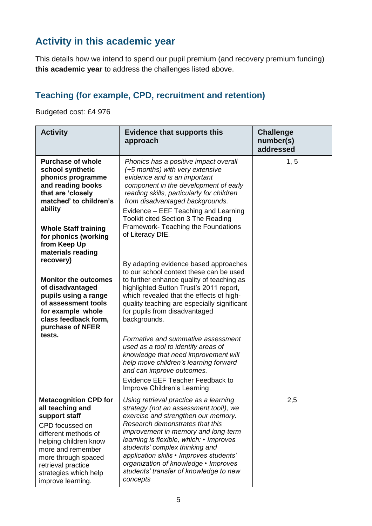### **Activity in this academic year**

This details how we intend to spend our pupil premium (and recovery premium funding) **this academic year** to address the challenges listed above.

#### **Teaching (for example, CPD, recruitment and retention)**

Budgeted cost: £4 976

| <b>Activity</b>                                                                                                                                                                                                                                       | <b>Evidence that supports this</b><br>approach                                                                                                                                                                                                                                                                                                                                                                          | <b>Challenge</b><br>number(s)<br>addressed |
|-------------------------------------------------------------------------------------------------------------------------------------------------------------------------------------------------------------------------------------------------------|-------------------------------------------------------------------------------------------------------------------------------------------------------------------------------------------------------------------------------------------------------------------------------------------------------------------------------------------------------------------------------------------------------------------------|--------------------------------------------|
| <b>Purchase of whole</b><br>school synthetic<br>phonics programme<br>and reading books<br>that are 'closely<br>matched' to children's<br>ability<br><b>Whole Staff training</b><br>for phonics (working<br>from Keep Up<br>materials reading          | Phonics has a positive impact overall<br>(+5 months) with very extensive<br>evidence and is an important<br>component in the development of early<br>reading skills, particularly for children<br>from disadvantaged backgrounds.<br>Evidence – EEF Teaching and Learning<br><b>Toolkit cited Section 3 The Reading</b><br>Framework-Teaching the Foundations<br>of Literacy DfE.                                       | 1, 5                                       |
| recovery)<br><b>Monitor the outcomes</b><br>of disadvantaged<br>pupils using a range<br>of assessment tools<br>for example whole<br>class feedback form,<br>purchase of NFER                                                                          | By adapting evidence based approaches<br>to our school context these can be used<br>to further enhance quality of teaching as<br>highlighted Sutton Trust's 2011 report,<br>which revealed that the effects of high-<br>quality teaching are especially significant<br>for pupils from disadvantaged<br>backgrounds.                                                                                                    |                                            |
| tests.                                                                                                                                                                                                                                                | Formative and summative assessment<br>used as a tool to identify areas of<br>knowledge that need improvement will<br>help move children's learning forward<br>and can improve outcomes.<br>Evidence EEF Teacher Feedback to<br>Improve Children's Learning                                                                                                                                                              |                                            |
| <b>Metacognition CPD for</b><br>all teaching and<br>support staff<br>CPD focussed on<br>different methods of<br>helping children know<br>more and remember<br>more through spaced<br>retrieval practice<br>strategies which help<br>improve learning. | Using retrieval practice as a learning<br>strategy (not an assessment tool!), we<br>exercise and strengthen our memory.<br>Research demonstrates that this<br>improvement in memory and long-term<br>learning is flexible, which: • Improves<br>students' complex thinking and<br>application skills · Improves students'<br>organization of knowledge • Improves<br>students' transfer of knowledge to new<br>concepts | 2,5                                        |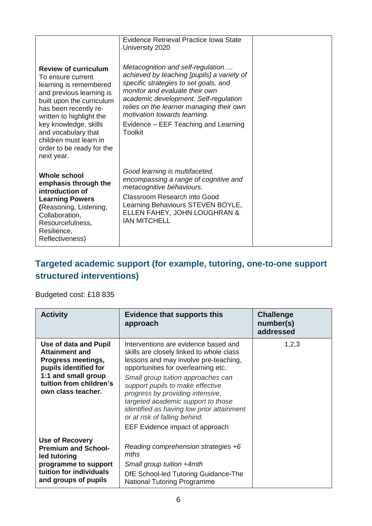| <b>Review of curriculum</b><br>To ensure current<br>learning is remembered<br>and previous learning is<br>built upon the curriculum<br>has been recently re-<br>written to highlight the<br>key knowledge, skills<br>and vocabulary that<br>children must learn in<br>order to be ready for the<br>next year. | Evidence Retrieval Practice Iowa State<br>University 2020<br>Metacognition and self-regulation<br>achieved by teaching [pupils] a variety of<br>specific strategies to set goals, and<br>monitor and evaluate their own<br>academic development. Self-regulation<br>relies on the learner managing their own<br>motivation towards learning.<br>Evidence – EEF Teaching and Learning<br>Toolkit |  |
|---------------------------------------------------------------------------------------------------------------------------------------------------------------------------------------------------------------------------------------------------------------------------------------------------------------|-------------------------------------------------------------------------------------------------------------------------------------------------------------------------------------------------------------------------------------------------------------------------------------------------------------------------------------------------------------------------------------------------|--|
| <b>Whole school</b><br>emphasis through the<br>introduction of<br><b>Learning Powers</b><br>(Reasoning, Listening,<br>Collaboration,<br>Resourcefulness,<br>Resilience,<br>Reflectiveness)                                                                                                                    | Good learning is multifaceted,<br>encompassing a range of cognitive and<br>metacognitive behaviours.<br>Classroom Research into Good<br>Learning Behaviours STEVEN BOYLE,<br>ELLEN FAHEY, JOHN LOUGHRAN &<br><b>IAN MITCHELL</b>                                                                                                                                                                |  |

#### **Targeted academic support (for example, tutoring, one-to-one support structured interventions)**

#### Budgeted cost: £18 835

| <b>Activity</b>                                                                                                                                                       | Evidence that supports this<br>approach                                                                                                                                                                                                                                                                                                                                                                                               | <b>Challenge</b><br>number(s)<br>addressed |
|-----------------------------------------------------------------------------------------------------------------------------------------------------------------------|---------------------------------------------------------------------------------------------------------------------------------------------------------------------------------------------------------------------------------------------------------------------------------------------------------------------------------------------------------------------------------------------------------------------------------------|--------------------------------------------|
| Use of data and Pupil<br><b>Attainment and</b><br>Progress meetings,<br>pupils identified for<br>1:1 and small group<br>tuition from children's<br>own class teacher. | Interventions are evidence based and<br>skills are closely linked to whole class<br>lessons and may involve pre-teaching,<br>opportunities for overlearning etc.<br>Small group tuition approaches can<br>support pupils to make effective<br>progress by providing intensive,<br>targeted academic support to those<br>identified as having low prior attainment<br>or at risk of falling behind.<br>EEF Evidence impact of approach | 1,2,3                                      |
| <b>Use of Recovery</b><br><b>Premium and School-</b><br>led tutoring<br>programme to support<br>tuition for individuals<br>and groups of pupils                       | Reading comprehension strategies +6<br>mths<br>Small group tuition +4mth<br>DfE School-led Tutoring Guidance-The<br><b>National Tutoring Programme</b>                                                                                                                                                                                                                                                                                |                                            |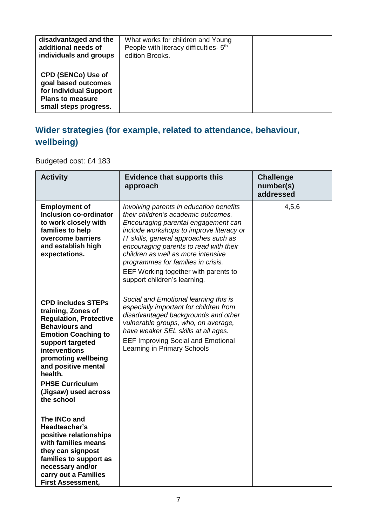| disadvantaged and the<br>additional needs of<br>individuals and groups                                                         | What works for children and Young<br>People with literacy difficulties- 5 <sup>th</sup><br>edition Brooks. |  |
|--------------------------------------------------------------------------------------------------------------------------------|------------------------------------------------------------------------------------------------------------|--|
| <b>CPD (SENCo) Use of</b><br>goal based outcomes<br>for Individual Support<br><b>Plans to measure</b><br>small steps progress. |                                                                                                            |  |

### **Wider strategies (for example, related to attendance, behaviour, wellbeing)**

Budgeted cost: £4 183

| <b>Activity</b>                                                                                                                                                                                                                                                                                       | <b>Evidence that supports this</b><br>approach                                                                                                                                                                                                                                                                                                                                                           | <b>Challenge</b><br>number(s)<br>addressed |
|-------------------------------------------------------------------------------------------------------------------------------------------------------------------------------------------------------------------------------------------------------------------------------------------------------|----------------------------------------------------------------------------------------------------------------------------------------------------------------------------------------------------------------------------------------------------------------------------------------------------------------------------------------------------------------------------------------------------------|--------------------------------------------|
| <b>Employment of</b><br><b>Inclusion co-ordinator</b><br>to work closely with<br>families to help<br>overcome barriers<br>and establish high<br>expectations.                                                                                                                                         | Involving parents in education benefits<br>their children's academic outcomes.<br>Encouraging parental engagement can<br>include workshops to improve literacy or<br>IT skills, general approaches such as<br>encouraging parents to read with their<br>children as well as more intensive<br>programmes for families in crisis.<br>EEF Working together with parents to<br>support children's learning. | 4,5,6                                      |
| <b>CPD includes STEPs</b><br>training, Zones of<br><b>Regulation, Protective</b><br><b>Behaviours and</b><br><b>Emotion Coaching to</b><br>support targeted<br>interventions<br>promoting wellbeing<br>and positive mental<br>health.<br><b>PHSE Curriculum</b><br>(Jigsaw) used across<br>the school | Social and Emotional learning this is<br>especially important for children from<br>disadvantaged backgrounds and other<br>vulnerable groups, who, on average,<br>have weaker SEL skills at all ages.<br><b>EEF Improving Social and Emotional</b><br>Learning in Primary Schools                                                                                                                         |                                            |
| The INCo and<br>Headteacher's<br>positive relationships<br>with families means<br>they can signpost<br>families to support as<br>necessary and/or<br>carry out a Families<br><b>First Assessment,</b>                                                                                                 |                                                                                                                                                                                                                                                                                                                                                                                                          |                                            |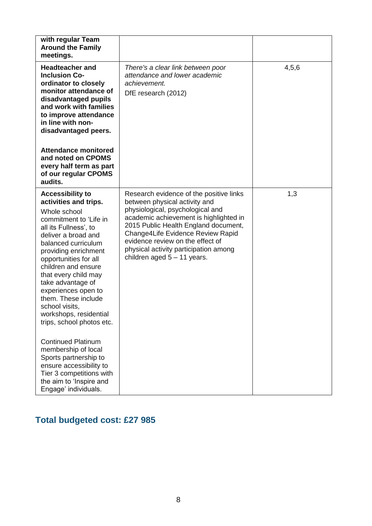| with regular Team<br><b>Around the Family</b><br>meetings.                                                                                                                                                                                                                                                                                                                                                    |                                                                                                                                                                                                                                                                                                                                                   |       |
|---------------------------------------------------------------------------------------------------------------------------------------------------------------------------------------------------------------------------------------------------------------------------------------------------------------------------------------------------------------------------------------------------------------|---------------------------------------------------------------------------------------------------------------------------------------------------------------------------------------------------------------------------------------------------------------------------------------------------------------------------------------------------|-------|
| <b>Headteacher and</b><br><b>Inclusion Co-</b><br>ordinator to closely<br>monitor attendance of<br>disadvantaged pupils<br>and work with families<br>to improve attendance<br>in line with non-<br>disadvantaged peers.                                                                                                                                                                                       | There's a clear link between poor<br>attendance and lower academic<br>achievement.<br>DfE research (2012)                                                                                                                                                                                                                                         | 4,5,6 |
| <b>Attendance monitored</b><br>and noted on CPOMS<br>every half term as part<br>of our regular CPOMS<br>audits.                                                                                                                                                                                                                                                                                               |                                                                                                                                                                                                                                                                                                                                                   |       |
| <b>Accessibility to</b><br>activities and trips.<br>Whole school<br>commitment to 'Life in<br>all its Fullness', to<br>deliver a broad and<br>balanced curriculum<br>providing enrichment<br>opportunities for all<br>children and ensure<br>that every child may<br>take advantage of<br>experiences open to<br>them. These include<br>school visits,<br>workshops, residential<br>trips, school photos etc. | Research evidence of the positive links<br>between physical activity and<br>physiological, psychological and<br>academic achievement is highlighted in<br>2015 Public Health England document,<br>Change4Life Evidence Review Rapid<br>evidence review on the effect of<br>physical activity participation among<br>children aged $5 - 11$ years. | 1,3   |
| <b>Continued Platinum</b><br>membership of local<br>Sports partnership to<br>ensure accessibility to<br>Tier 3 competitions with<br>the aim to 'Inspire and<br>Engage' individuals.                                                                                                                                                                                                                           |                                                                                                                                                                                                                                                                                                                                                   |       |

### **Total budgeted cost: £27 985**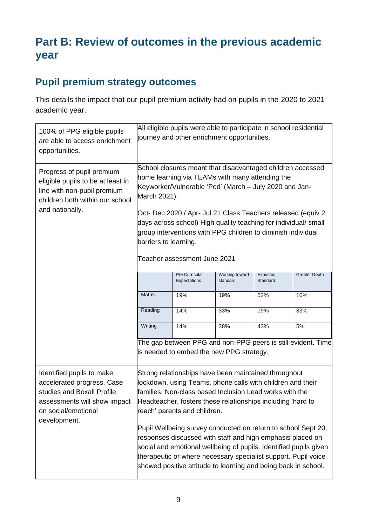## **Part B: Review of outcomes in the previous academic year**

### **Pupil premium strategy outcomes**

This details the impact that our pupil premium activity had on pupils in the 2020 to 2021 academic year.

| 100% of PPG eligible pupils<br>are able to access enrichment<br>opportunities.                                                                               | All eligible pupils were able to participate in school residential<br>journey and other enrichment opportunities.                                                                                                                                                                                                                                                                                                                                                                                                                                                                                                    |     |     |     |     |
|--------------------------------------------------------------------------------------------------------------------------------------------------------------|----------------------------------------------------------------------------------------------------------------------------------------------------------------------------------------------------------------------------------------------------------------------------------------------------------------------------------------------------------------------------------------------------------------------------------------------------------------------------------------------------------------------------------------------------------------------------------------------------------------------|-----|-----|-----|-----|
| Progress of pupil premium<br>eligible pupils to be at least in<br>line with non-pupil premium<br>children both within our school<br>and nationally.          | School closures meant that disadvantaged children accessed<br>home learning via TEAMs with many attending the<br>Keyworker/Vulnerable 'Pod' (March - July 2020 and Jan-<br>March 2021).<br>Oct- Dec 2020 / Apr- Jul 21 Class Teachers released (equiv 2<br>days across school) High quality teaching for individual/ small<br>group interventions with PPG children to diminish individual<br>barriers to learning.<br>Teacher assessment June 2021                                                                                                                                                                  |     |     |     |     |
|                                                                                                                                                              | Pre Curricular<br>Working toward<br>Expected<br>standard<br>Standard<br>Expectations                                                                                                                                                                                                                                                                                                                                                                                                                                                                                                                                 |     |     |     |     |
|                                                                                                                                                              | <b>Maths</b>                                                                                                                                                                                                                                                                                                                                                                                                                                                                                                                                                                                                         | 19% | 19% | 52% | 10% |
|                                                                                                                                                              | Reading                                                                                                                                                                                                                                                                                                                                                                                                                                                                                                                                                                                                              | 14% | 33% | 19% | 33% |
|                                                                                                                                                              | Writing                                                                                                                                                                                                                                                                                                                                                                                                                                                                                                                                                                                                              | 14% | 38% | 43% | 5%  |
|                                                                                                                                                              | The gap between PPG and non-PPG peers is still evident. Time<br>is needed to embed the new PPG strategy.                                                                                                                                                                                                                                                                                                                                                                                                                                                                                                             |     |     |     |     |
| Identified pupils to make<br>accelerated progress. Case<br>studies and Boxall Profile<br>assessments will show impact<br>on social/emotional<br>development. | Strong relationships have been maintained throughout<br>lockdown, using Teams, phone calls with children and their<br>families. Non-class based Inclusion Lead works with the<br>Headteacher, fosters these relationships including 'hard to<br>reach' parents and children.<br>Pupil Wellbeing survey conducted on return to school Sept 20,<br>responses discussed with staff and high emphasis placed on<br>social and emotional wellbeing of pupils. Identified pupils given<br>therapeutic or where necessary specialist support. Pupil voice<br>showed positive attitude to learning and being back in school. |     |     |     |     |